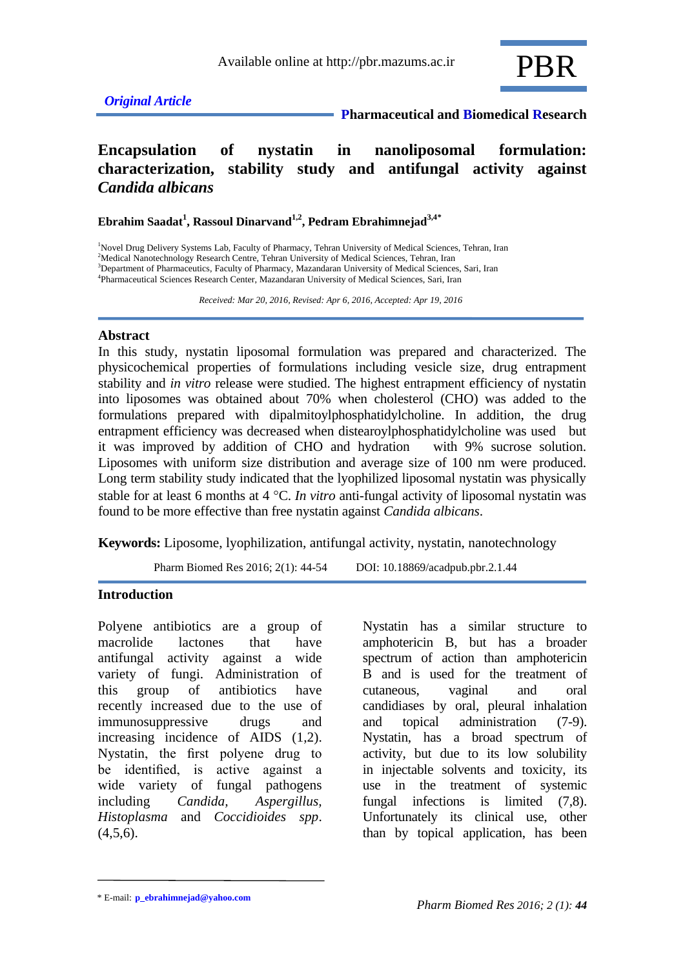

 **Pharmaceutical and Biomedical Research**

# **Encapsulation of nystatin in nanoliposomal formulation: characterization, stability study and antifungal activity against**  *Candida albicans*

**Ebrahim Saadat<sup>1</sup> , Rassoul Dinarvand1,2 , Pedram Ebrahimnejad3,4***\**

<sup>1</sup>Novel Drug Delivery Systems Lab, Faculty of Pharmacy, Tehran University of Medical Sciences, Tehran, Iran <sup>2</sup>Medical Nanotechnology Research Centre, Tehran University of Medical Sciences, Tehran, Iran <sup>3</sup>Department of Pharmaceutics, Faculty of Pharmacy, Mazandaran University of Medical Sciences, Sari, Iran 4 Pharmaceutical Sciences Research Center, Mazandaran University of Medical Sciences, Sari, Iran

 *Received: Mar 20, 2016, Revised: Apr 6, 2016, Accepted: Apr 19, 2016*

#### **Abstract**

In this study, nystatin liposomal formulation was prepared and characterized. The physicochemical properties of formulations including vesicle size, drug entrapment stability and *in vitro* release were studied. The highest entrapment efficiency of nystatin into liposomes was obtained about 70% when cholesterol (CHO) was added to the formulations prepared with dipalmitoylphosphatidylcholine. In addition, the drug entrapment efficiency was decreased when distearoylphosphatidylcholine was used but it was improved by addition of CHO and hydration with 9% sucrose solution. Liposomes with uniform size distribution and average size of 100 nm were produced. Long term stability study indicated that the lyophilized liposomal nystatin was physically stable for at least 6 months at 4 °C. *In vitro* anti-fungal activity of liposomal nystatin was found to be more effective than free nystatin against *Candida albicans*.

**Keywords:** Liposome, lyophilization, antifungal activity, nystatin, nanotechnology

Pharm Biomed Res 2016; 2(1): 44-54 DOI: 10.18869/acadpub.pbr.2.1.44

#### **Introduction**

Polyene antibiotics are a group of macrolide lactones that have antifungal activity against a wide variety of fungi. Administration of this group of antibiotics have recently increased due to the use of immunosuppressive drugs and increasing incidence of AIDS (1,2). Nystatin, the first polyene drug to be identified, is active against a wide variety of fungal pathogens including *Candida, Aspergillus, Histoplasma* and *Coccidioides spp*.  $(4,5,6)$ .

Nystatin has a similar structure to amphotericin B, but has a broader spectrum of action than amphotericin B and is used for the treatment of cutaneous, vaginal and oral candidiases by oral, pleural inhalation and topical administration (7-9). Nystatin, has a broad spectrum of activity, but due to its low solubility in injectable solvents and toxicity, its use in the treatment of systemic fungal infections is limited (7,8). Unfortunately its clinical use, other than by topical application, has been

<sup>\*</sup> E-mail: **p\_ebrahimnejad@yahoo.com**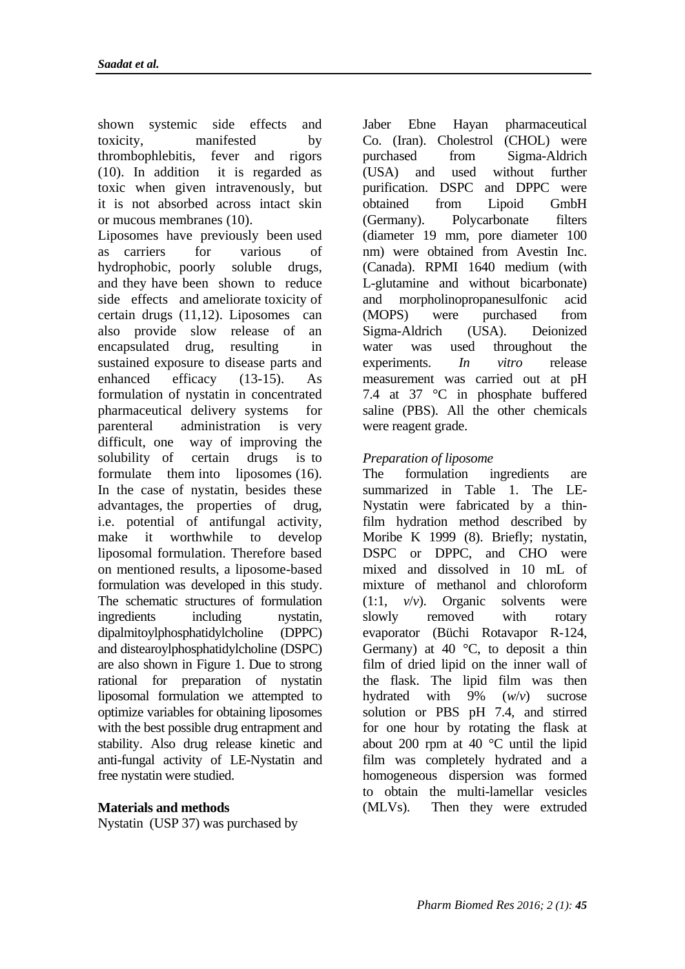shown systemic side effects and toxicity, manifested by thrombophlebitis, fever and rigors (10). In addition it is regarded as toxic when given [intravenously,](http://en.wikipedia.org/wiki/Intravenous) but it is not absorbed across intact skin or mucous membranes (10). Liposomes have previously been used as carriers for various of hydrophobic, poorly soluble drugs, and they have been shown to reduce side effects and ameliorate toxicity of certain drugs (11,12). Liposomes can also provide slow release of an encapsulated drug, resulting in sustained exposure to disease parts and enhanced efficacy (13-15). As formulation of nystatin in concentrated pharmaceutical delivery systems for parenteral administration is very difficult, one way of improving the solubility of certain drugs is to formulate them into liposomes (16). In the case of nystatin, besides these advantages, the properties of drug, i.e. potential of antifungal activity, make it worthwhile to develop liposomal formulation. Therefore based on mentioned results, a liposome-based formulation was developed in this study. The schematic structures of formulation ingredients including nystatin, dipalmitoylphosphatidylcholine (DPPC) and distearoylphosphatidylcholine (DSPC) are also shown in Figure 1. Due to strong rational for preparation of nystatin liposomal formulation we attempted to optimize variables for obtaining liposomes with the best possible drug entrapment and stability. Also drug release kinetic and anti-fungal activity of LE-Nystatin and free nystatin were studied.

### **Materials and methods**

Nystatin (USP 37) was purchased by

Jaber Ebne Hayan pharmaceutical Co. (Iran). Cholestrol (CHOL) were purchased from Sigma-Aldrich (USA) and used without further purification. DSPC and DPPC were obtained from Lipoid GmbH (Germany). Polycarbonate filters (diameter 19 mm, pore diameter 100 nm) were obtained from Avestin Inc. (Canada). RPMI 1640 medium (with L-glutamine and without bicarbonate) and morpholinopropanesulfonic acid (MOPS) were purchased from Sigma-Aldrich (USA). Deionized water was used throughout the experiments. *In vitro* release measurement was carried out at pH 7.4 at 37 °C in phosphate buffered saline (PBS). All the other chemicals were reagent grade.

### *Preparation of liposome*

The formulation ingredients are summarized in Table 1. The LE-Nystatin were fabricated by a thinfilm hydration method described by Moribe K 1999 (8). Briefly; nystatin, DSPC or DPPC, and CHO were mixed and dissolved in 10 mL of mixture of methanol and chloroform (1:1, *v*/*v*). Organic solvents were slowly removed with rotary evaporator (Büchi Rotavapor R-124, Germany) at 40  $\degree$ C, to deposit a thin film of dried lipid on the inner wall of the flask. The lipid film was then hydrated with 9% (*w*/*v*) sucrose solution or PBS pH 7.4, and stirred for one hour by rotating the flask at about 200 rpm at 40 °C until the lipid film was completely hydrated and a homogeneous dispersion was formed to obtain the multi-lamellar vesicles (MLVs). Then they were extruded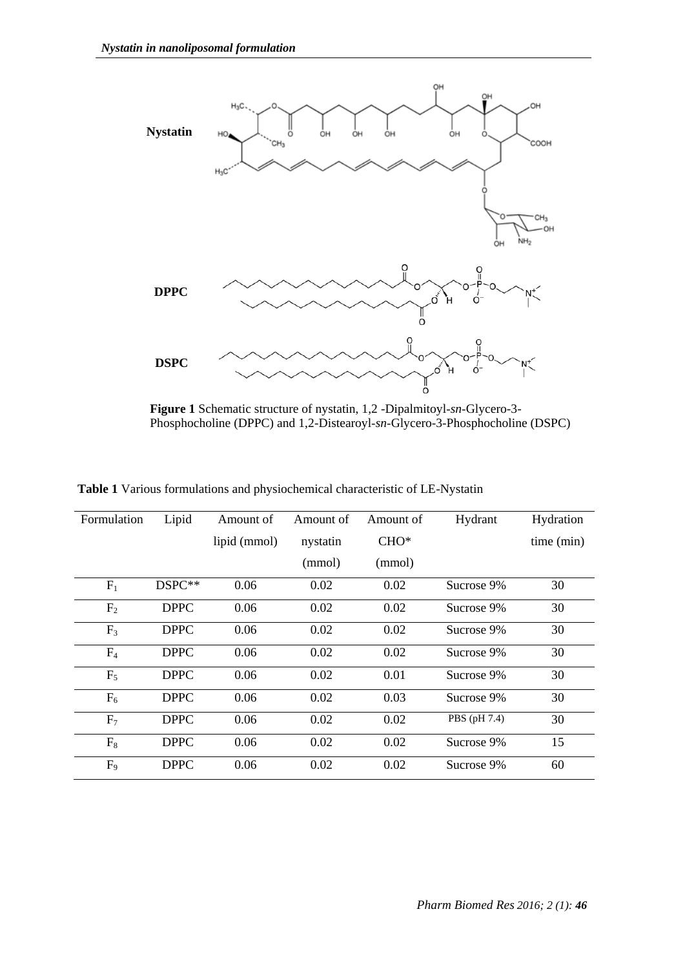

**Figure 1** Schematic structure of nystatin, 1,2 -Dipalmitoyl-*sn*-Glycero-3- Phosphocholine (DPPC) and 1,2-Distearoyl-*sn*-Glycero-3-Phosphocholine (DSPC)

| Formulation    | Lipid       | Amount of    | Amount of | Amount of | Hydrant      | Hydration  |
|----------------|-------------|--------------|-----------|-----------|--------------|------------|
|                |             | lipid (mmol) | nystatin  | $CHO*$    |              | time (min) |
|                |             |              | (mmol)    | (mmol)    |              |            |
| $F_1$          | DSPC**      | 0.06         | 0.02      | 0.02      | Sucrose 9%   | 30         |
| F <sub>2</sub> | <b>DPPC</b> | 0.06         | 0.02      | 0.02      | Sucrose 9%   | 30         |
| F <sub>3</sub> | <b>DPPC</b> | 0.06         | 0.02      | 0.02      | Sucrose 9%   | 30         |
| F <sub>4</sub> | <b>DPPC</b> | 0.06         | 0.02      | 0.02      | Sucrose 9%   | 30         |
| $F_5$          | <b>DPPC</b> | 0.06         | 0.02      | 0.01      | Sucrose 9%   | 30         |
| $F_6$          | <b>DPPC</b> | 0.06         | 0.02      | 0.03      | Sucrose 9%   | 30         |
| F <sub>7</sub> | <b>DPPC</b> | 0.06         | 0.02      | 0.02      | PBS (pH 7.4) | 30         |
| $F_8$          | <b>DPPC</b> | 0.06         | 0.02      | 0.02      | Sucrose 9%   | 15         |
| F <sub>9</sub> | <b>DPPC</b> | 0.06         | 0.02      | 0.02      | Sucrose 9%   | 60         |

**Table 1** Various formulations and physiochemical characteristic of LE-Nystatin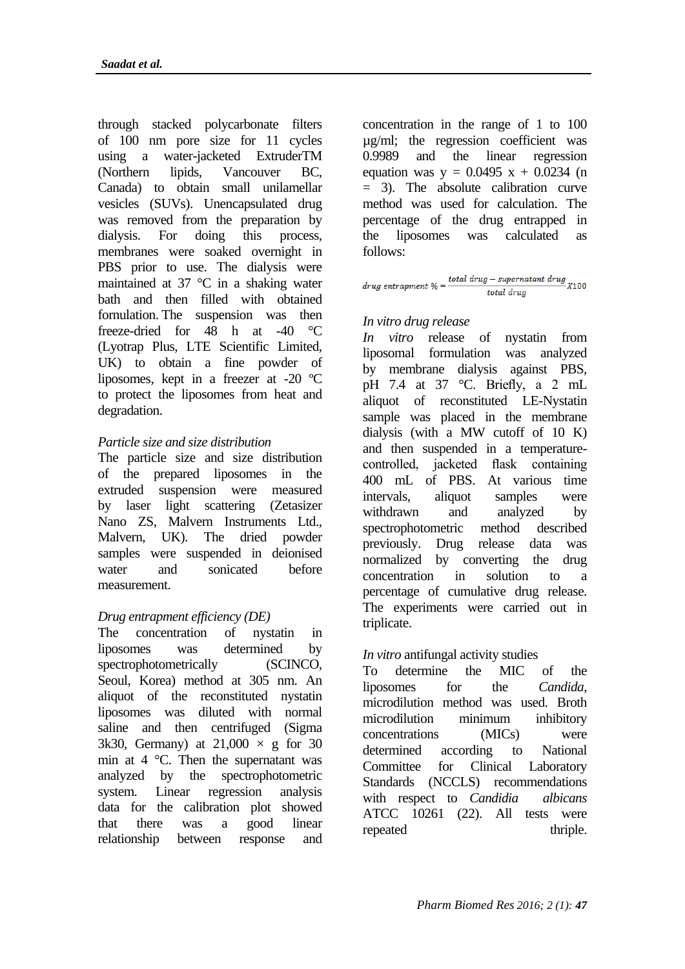through stacked polycarbonate filters of 100 nm pore size for 11 cycles using a water-jacketed ExtruderTM (Northern lipids, Vancouver BC, Canada) to obtain small unilamellar vesicles (SUVs). Unencapsulated drug was removed from the preparation by dialysis. For doing this process, membranes were soaked overnight in PBS prior to use. The dialysis were maintained at 37 °C in a shaking water bath and then filled with obtained fornulation. The suspension was then freeze-dried for 48 h at -40 °C (Lyotrap Plus, LTE Scientific Limited, UK) to obtain a fine powder of liposomes, kept in a freezer at -20 ºC to protect the liposomes from heat and degradation.

## *Particle size and size distribution*

The particle size and size distribution of the prepared liposomes in the extruded suspension were measured by laser light scattering (Zetasizer Nano ZS, Malvern Instruments Ltd., Malvern, UK). The dried powder samples were suspended in deionised water and sonicated before measurement.

# *Drug entrapment efficiency (DE)*

The concentration of nystatin in liposomes was determined by spectrophotometrically (SCINCO, Seoul, Korea) method at 305 nm. An aliquot of the reconstituted nystatin liposomes was diluted with normal saline and then centrifuged (Sigma 3k30, Germany) at  $21,000 \times g$  for 30 min at 4 °C. Then the supernatant was analyzed by the spectrophotometric system. Linear regression analysis data for the calibration plot showed that there was a good linear relationship between response and

concentration in the range of 1 to 100 µg/ml; the regression coefficient was 0.9989 and the linear regression equation was  $y = 0.0495 x + 0.0234$  (n = 3). The absolute calibration curve method was used for calculation. The percentage of the drug entrapped in the liposomes was calculated as follows:

drug entrapment % =  $\frac{\text{total drug} - \text{supernatant drug}}{100}$  x100 total drug

### *In vitro drug release*

*In vitro* release of nystatin from liposomal formulation was analyzed by membrane dialysis against PBS, pH 7.4 at 37 °C. Briefly, a 2 mL aliquot of reconstituted LE-Nystatin sample was placed in the membrane dialysis (with a MW cutoff of 10 K) and then suspended in a temperaturecontrolled, jacketed flask containing 400 mL of PBS. At various time intervals, aliquot samples were withdrawn and analyzed by spectrophotometric method described previously. Drug release data was normalized by converting the drug concentration in solution to a percentage of cumulative drug release. The experiments were carried out in triplicate.

### *In vitro* antifungal activity studies

To determine the MIC of the liposomes for the *[Candida](http://en.wikipedia.org/wiki/Candida_%28genus%29)*, microdilution method was used. Broth microdilution minimum inhibitory concentrations (MICs) were determined according to National Committee for Clinical Laboratory Standards (NCCLS) recommendations with respect to *Candidia albicans* ATCC 10261 (22). All tests were repeated thriple.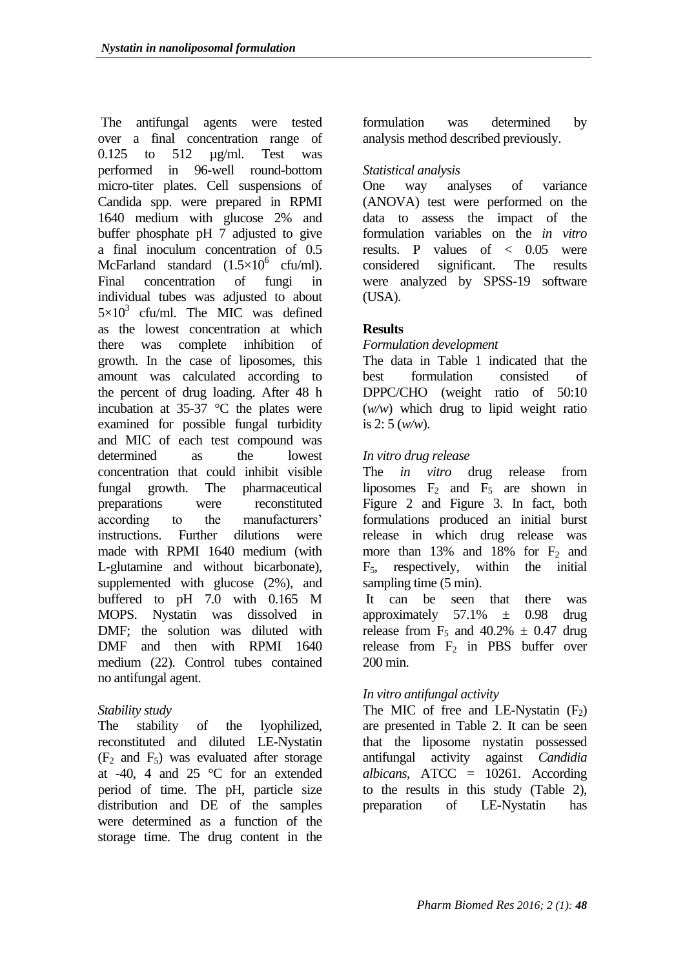The antifungal agents were tested over a final concentration range of 0.125 to 512 µg/ml. Test was performed in 96-well round-bottom micro-titer plates. Cell suspensions of Candida spp. were prepared in RPMI 1640 medium with glucose 2% and buffer phosphate pH 7 adjusted to give a final inoculum concentration of 0.5 McFarland standard  $(1.5 \times 10^6 \text{ cftt/ml})$ . Final concentration of fungi in individual tubes was adjusted to about  $5 \times 10^3$  cfu/ml. The MIC was defined as the lowest concentration at which there was complete inhibition of growth. In the case of liposomes, this amount was calculated according to the percent of drug loading. After 48 h incubation at  $35-37$  °C the plates were examined for possible fungal turbidity and MIC of each test compound was determined as the lowest concentration that could inhibit visible fungal growth. The pharmaceutical preparations were reconstituted according to the manufacturers' instructions. Further dilutions were made with RPMI 1640 medium (with L-glutamine and without bicarbonate), supplemented with glucose (2%), and buffered to pH 7.0 with 0.165 M MOPS. Nystatin was dissolved in DMF; the solution was diluted with DMF and then with RPMI 1640 medium (22). Control tubes contained no antifungal agent.

### *Stability study*

The stability of the lyophilized, reconstituted and diluted LE-Nystatin  $(F<sub>2</sub>$  and  $F<sub>5</sub>)$  was evaluated after storage at -40, 4 and 25 °C for an extended period of time. The pH, particle size distribution and DE of the samples were determined as a function of the storage time. The drug content in the

formulation was determined by analysis method described previously.

## *Statistical analysis*

One way analyses of variance (ANOVA) test were performed on the data to assess the impact of the formulation variables on the *in vitro* results. P values of  $\langle 0.05 \rangle$  were considered significant. The results were analyzed by SPSS-19 software (USA).

# **Results**

## *Formulation development*

The data in Table 1 indicated that the best formulation consisted of DPPC/CHO (weight ratio of 50:10 (*w/w*) which drug to lipid weight ratio is 2: 5 (*w/w*).

## *In vitro drug release*

The *in vitro* drug release from liposomes  $F_2$  and  $F_5$  are shown in Figure 2 and Figure 3. In fact, both formulations produced an initial burst release in which drug release was more than  $13\%$  and  $18\%$  for  $F_2$  and  $F<sub>5</sub>$ , respectively, within the initial sampling time  $(5 \text{ min})$ .

It can be seen that there was approximately  $57.1\% \pm 0.98$  drug release from  $F_5$  and 40.2%  $\pm$  0.47 drug release from  $F_2$  in PBS buffer over 200 min.

### *In vitro antifungal activity*

The MIC of free and LE-Nystatin  $(F_2)$ are presented in Table 2. It can be seen that the liposome nystatin possessed antifungal activity against *Candidia albicans*, ATCC = 10261. According to the results in this study (Table 2), preparation of LE-Nystatin has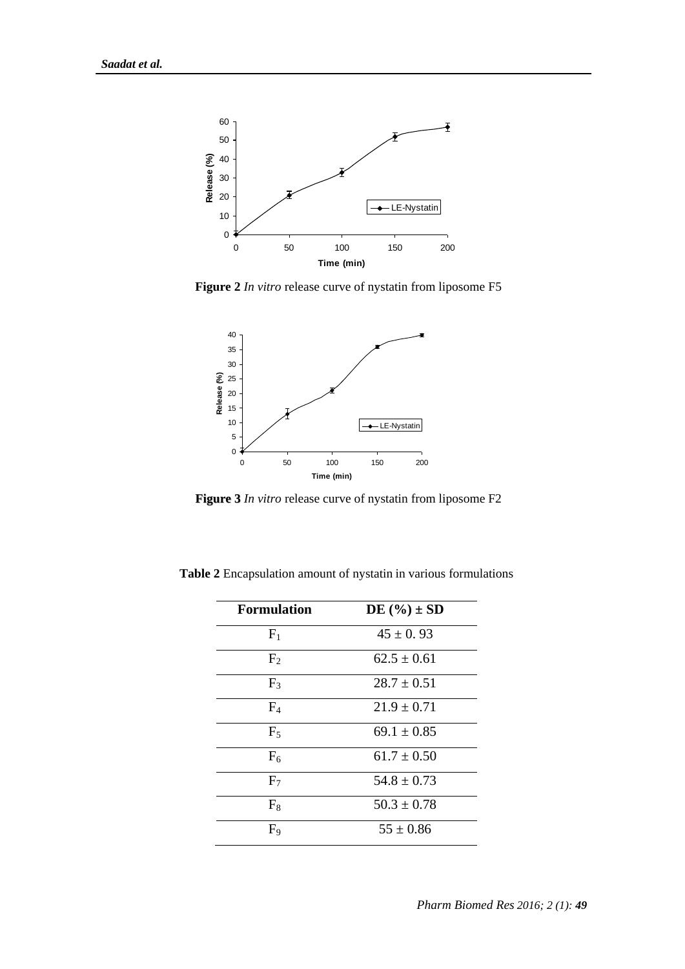

**Figure 2** *In vitro* release curve of nystatin from liposome F5



**Figure 3** *In vitro* release curve of nystatin from liposome F2

| <b>Formulation</b> | DE $(\%) \pm SD$ |
|--------------------|------------------|
| F <sub>1</sub>     | $45 \pm 0.93$    |
| F <sub>2</sub>     | $62.5 \pm 0.61$  |
| F <sub>3</sub>     | $28.7 \pm 0.51$  |
| F <sub>4</sub>     | $21.9 \pm 0.71$  |
| $F_5$              | $69.1 \pm 0.85$  |
| F <sub>6</sub>     | $61.7 \pm 0.50$  |
| F <sub>7</sub>     | $54.8 \pm 0.73$  |
| $F_8$              | $50.3 \pm 0.78$  |
| F <sub>9</sub>     | $55 \pm 0.86$    |

**Table 2** Encapsulation amount of nystatin in various formulations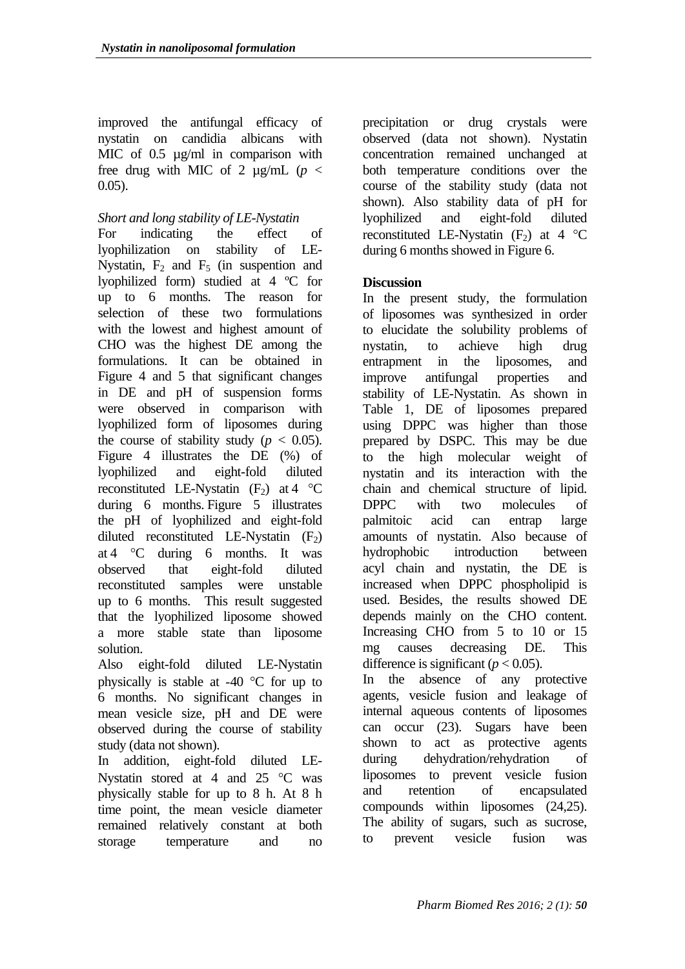improved the antifungal efficacy of nystatin on candidia albicans with MIC of 0.5  $\mu$ g/ml in comparison with free drug with MIC of 2  $\mu$ g/mL (*p* < 0.05).

### *Short and long stability of LE-Nystatin*

For indicating the effect of lyophilization on stability of LE-Nystatin,  $F_2$  and  $F_5$  (in suspention and lyophilized form) studied at 4 ºC for up to 6 months. The reason for selection of these two formulations with the lowest and highest amount of CHO was the highest DE among the formulations. It can be obtained in Figure 4 and 5 that significant changes in DE and pH of suspension forms were observed in comparison with lyophilized form of liposomes during the course of stability study ( $p < 0.05$ ). Figure 4 illustrates the DE (%) of lyophilized and eight-fold diluted reconstituted LE-Nystatin  $(F_2)$  at 4 °C during 6 months. Figure 5 illustrates the pH of lyophilized and eight-fold diluted reconstituted LE-Nystatin  $(F_2)$ at 4  $\degree$ C during 6 months. It was observed that eight-fold diluted reconstituted samples were unstable up to 6 months. This result suggested that the lyophilized liposome showed a more stable state than liposome solution.

Also eight-fold diluted LE-Nystatin physically is stable at -40  $\degree$ C for up to 6 months. No significant changes in mean vesicle size, pH and DE were observed during the course of stability study (data not shown).

In addition, eight-fold diluted LE-Nystatin stored at 4 and  $25 \degree C$  was physically stable for up to 8 h. At 8 h time point, the mean vesicle diameter remained relatively constant at both storage temperature and no

precipitation or drug crystals were observed (data not shown). Nystatin concentration remained unchanged at both temperature conditions over the course of the stability study (data not shown). Also stability data of pH for lyophilized and eight-fold diluted reconstituted LE-Nystatin  $(F_2)$  at 4 °C during 6 months showed in Figure 6.

### **Discussion**

In the present study, the formulation of liposomes was synthesized in order to elucidate the solubility problems of nystatin, to achieve high drug entrapment in the liposomes, and improve antifungal properties and stability of LE-Nystatin. As shown in Table 1, DE of liposomes prepared using DPPC was higher than those prepared by DSPC. This may be due to the high molecular weight of nystatin and its interaction with the chain and chemical structure of lipid. DPPC with two molecules of palmitoic acid can entrap large amounts of nystatin. Also because of hydrophobic introduction between acyl chain and nystatin, the DE is increased when DPPC phospholipid is used. Besides, the results showed DE depends mainly on the CHO content. Increasing CHO from 5 to 10 or 15 mg causes decreasing DE. This difference is significant  $(p < 0.05)$ .

In the absence of any protective agents, vesicle fusion and leakage of internal aqueous contents of liposomes can occur (23). Sugars have been shown to act as protective agents during dehydration/rehydration of liposomes to prevent vesicle fusion and retention of encapsulated compounds within liposomes (24,25). The ability of sugars, such as sucrose, to prevent vesicle fusion was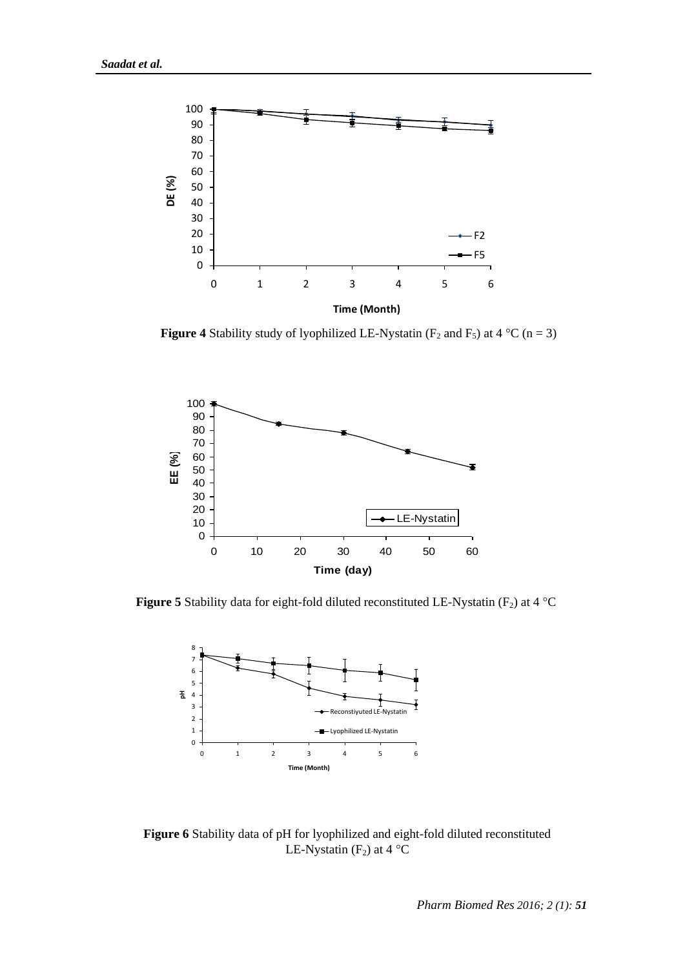

**Figure 4** Stability study of lyophilized LE-Nystatin ( $F_2$  and  $F_5$ ) at 4 °C (n = 3)



**Figure 5** Stability data for eight-fold diluted reconstituted LE-Nystatin ( $F_2$ ) at 4 °C



**Figure 6** Stability data of pH for lyophilized and eight-fold diluted reconstituted LE-Nystatin  $(F_2)$  at 4 °C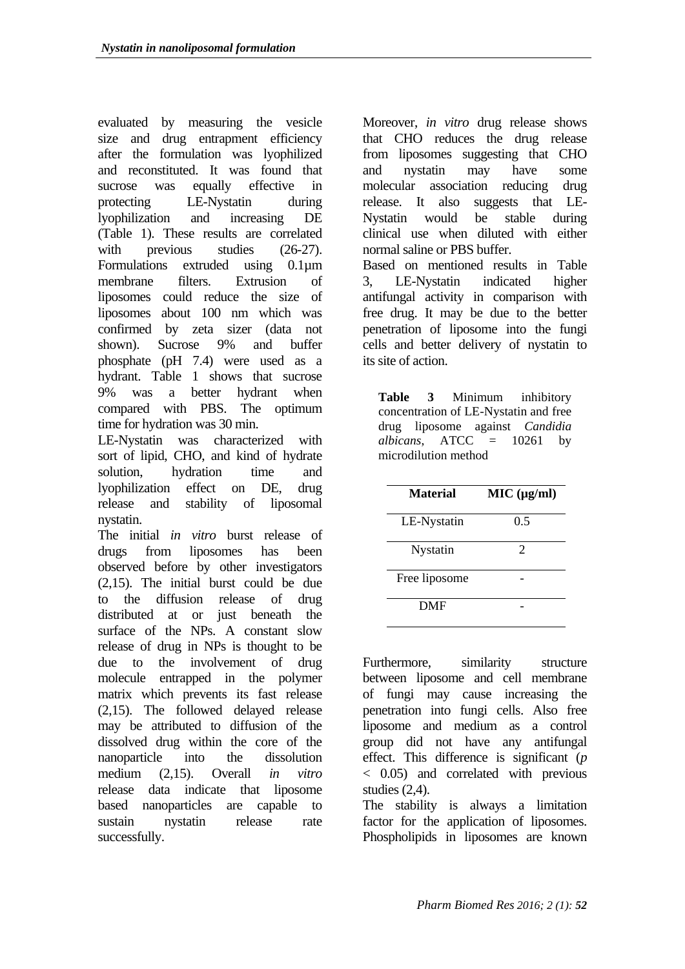evaluated by measuring the vesicle size and drug entrapment efficiency after the formulation was lyophilized and reconstituted. It was found that sucrose was equally effective in protecting LE-Nystatin during lyophilization and increasing DE (Table 1). These results are correlated with previous studies (26-27). Formulations extruded using 0.1µm membrane filters. Extrusion of liposomes could reduce the size of liposomes about 100 nm which was confirmed by zeta sizer (data not shown). Sucrose 9% and buffer phosphate (pH 7.4) were used as a hydrant. Table 1 shows that sucrose 9% was a better hydrant when compared with PBS. The optimum time for hydration was 30 min.

LE-Nystatin was characterized with sort of lipid, CHO, and kind of hydrate solution, hydration time and lyophilization effect on DE, drug release and stability of liposomal nystatin.

The initial *in vitro* burst release of drugs from liposomes has been observed before by other investigators (2,15). The initial burst could be due to the diffusion release of drug distributed at or just beneath the surface of the NPs. A constant slow release of drug in NPs is thought to be due to the involvement of drug molecule entrapped in the polymer matrix which prevents its fast release (2,15). The followed delayed release may be attributed to diffusion of the dissolved drug within the core of the nanoparticle into the dissolution medium (2,15). Overall *in vitro* release data indicate that liposome based nanoparticles are capable to sustain nystatin release rate successfully.

Moreover, *in vitro* drug release shows that CHO reduces the drug release from liposomes suggesting that CHO and nystatin may have some molecular association reducing drug release. It also suggests that LE-Nystatin would be stable during clinical use when diluted with either normal saline or PBS buffer. Based on mentioned results in Table

3, LE-Nystatin indicated higher antifungal activity in comparison with free drug. It may be due to the better penetration of liposome into the fungi cells and better delivery of nystatin to its site of action.

**Table 3** Minimum inhibitory concentration of LE-Nystatin and free drug liposome against *Candidia*   $albicans, ATCC = 10261$  by microdilution method

| <b>Material</b> | MIC (µg/ml)    |
|-----------------|----------------|
| LE-Nystatin     | 0.5            |
| Nystatin        | $\mathfrak{D}$ |
| Free liposome   |                |
| <b>DMF</b>      |                |

Furthermore, similarity structure between liposome and cell membrane of fungi may cause increasing the penetration into fungi cells. Also free liposome and medium as a control group did not have any antifungal effect. This difference is significant (*p* < 0.05) and correlated with previous studies (2,4).

The stability is always a limitation factor for the application of liposomes. Phospholipids in liposomes are known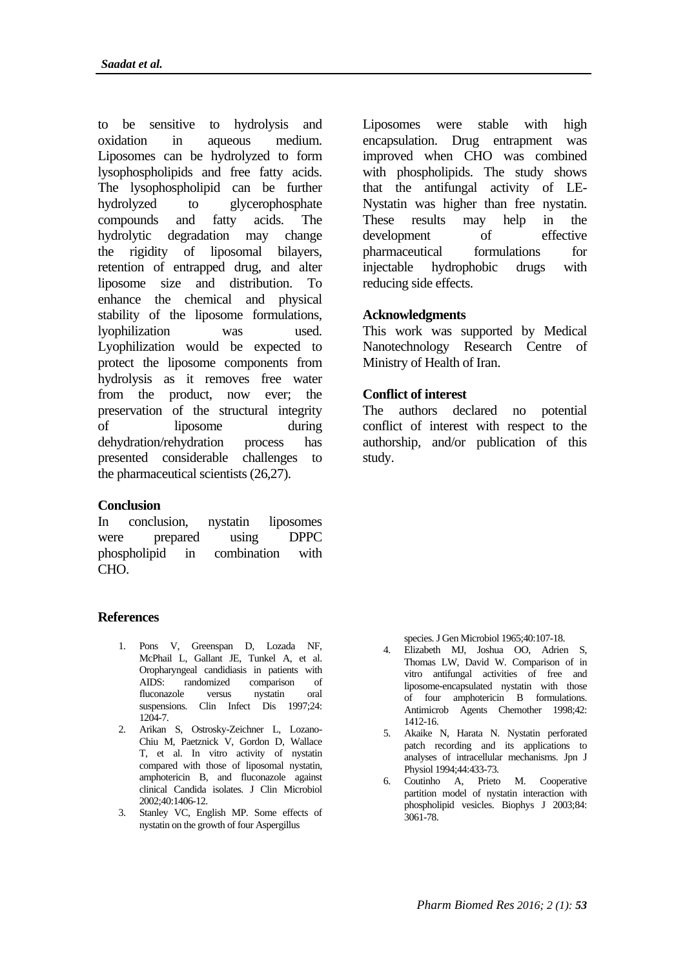to be sensitive to hydrolysis and oxidation in aqueous medium. Liposomes can be hydrolyzed to form lysophospholipids and free fatty acids. The lysophospholipid can be further hydrolyzed to glycerophosphate compounds and fatty acids. The hydrolytic degradation may change the rigidity of liposomal bilayers, retention of entrapped drug, and alter liposome size and distribution. To enhance the chemical and physical stability of the liposome formulations, lyophilization was used. Lyophilization would be expected to protect the liposome components from hydrolysis as it removes free water from the product, now ever; the preservation of the structural integrity of liposome during dehydration/rehydration process has presented considerable challenges to the pharmaceutical scientists (26,27).

### **Conclusion**

In conclusion, nystatin liposomes were prepared using DPPC phospholipid in combination with CHO.

### **References**

- 1. Pons V, Greenspan D, Lozada NF, McPhail L, Gallant JE, Tunkel A, et al. Oropharyngeal candidiasis in patients with AIDS: randomized comparison fluconazole versus nystatin oral suspensions. Clin Infect Dis 1997;24: 1204-7.
- 2. Arikan S, Ostrosky-Zeichner L, Lozano-Chiu M, Paetznick V, Gordon D, Wallace T, et al. In vitro activity of nystatin compared with those of liposomal nystatin, amphotericin B, and fluconazole against clinical Candida isolates. J Clin Microbiol 2002;40:1406-12.
- 3. Stanley VC, English MP. Some effects of nystatin on the growth of four Aspergillus

Liposomes were stable with high encapsulation. Drug entrapment was improved when CHO was combined with phospholipids. The study shows that the antifungal activity of LE-Nystatin was higher than free nystatin. These results may help in the development of effective pharmaceutical formulations for injectable hydrophobic drugs with reducing side effects.

### **Acknowledgments**

This work was supported by Medical Nanotechnology Research Centre of Ministry of Health of Iran.

#### **Conflict of interest**

The authors declared no potential conflict of interest with respect to the authorship, and/or publication of this study.

species. J Gen Microbiol 1965;40:107-18.

- 4. Elizabeth MJ, Joshua OO, Adrien S, Thomas LW, David W. Comparison of in vitro antifungal activities of free and liposome-encapsulated nystatin with those of four amphotericin B formulations. Antimicrob Agents Chemother 1998;42: 1412-16.
- 5. Akaike N, Harata N. Nystatin perforated patch recording and its applications to analyses of intracellular mechanisms. Jpn J Physiol 1994;44:433-73.
- 6. Coutinho A, Prieto M. Cooperative partition model of nystatin interaction with phospholipid vesicles. Biophys J 2003;84: 3061-78.